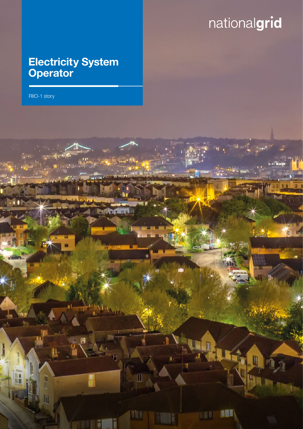# nationalgrid

w

 $\mathbb I$ 

ti i

ā

 $\mathbb{R}$ 

**NET** 

m

## Electricity System **Operator**

RIIO-1 story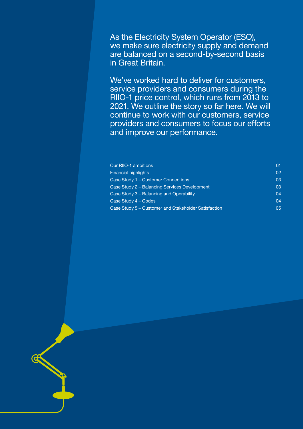As the Electricity System Operator (ESO), we make sure electricity supply and demand are balanced on a second-by-second basis in Great Britain.

We've worked hard to deliver for customers, service providers and consumers during the RIIO-1 price control, which runs from 2013 to 2021. We outline the story so far here. We will continue to work with our customers, service providers and consumers to focus our efforts and improve our performance.

| Our RIIO-1 ambitions                                                                 | 01       |
|--------------------------------------------------------------------------------------|----------|
| <b>Financial highlights</b>                                                          | 02       |
| Case Study 1 – Customer Connections<br>Case Study 2 - Balancing Services Development | 03<br>03 |
|                                                                                      |          |
| Case Study 4 – Codes                                                                 | 04       |
| Case Study 5 – Customer and Stakeholder Satisfaction                                 | 05       |

c Electricity System Operator RII - 1999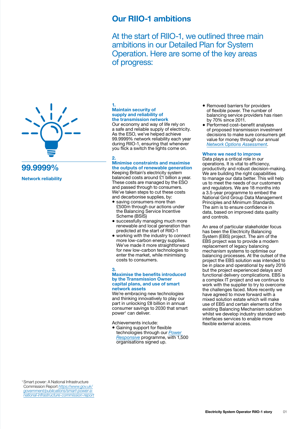## Our RIIO-1 ambitions

At the start of RIIO-1, we outlined three main ambitions in our Detailed Plan for System Operation. Here are some of the key areas of progress:

<span id="page-2-0"></span>



Network reliability

#### 1. Maintain security of supply and reliability of the transmission network

Our economy and way of life rely on a safe and reliable supply of electricity. As the ESO, we've helped achieve 99.9999% network reliability each year during RIIO-1, ensuring that whenever you flick a switch the lights come on.

#### $\overline{2}$

#### Minimise constraints and maximise the outputs of renewable generation

Keeping Britain's electricity system balanced costs around £1 billion a year. These costs are managed by the ESO and passed through to consumers. We've taken steps to cut these costs and decarbonise supplies, by:

- saving consumers more than £500m through our actions under the Balancing Service Incentive Scheme (BSIS)
- successfully managing much more renewable and local generation than predicted at the start of RIIO-1
- working with the industry to connect more low-carbon energy supplies. We've made it more straightforward for new low-carbon technologies to enter the market, while minimising costs to consumers.

#### 3. Maximise the benefits introduced by the Transmission Owner capital plans, and use of smart network assets

We're embracing new technologies and thinking innovatively to play our part in unlocking £8 billion in annual consumer savings to 2030 that smart power<sup>1</sup> can deliver.

Achievements include:

• Gaining support for flexible technologies through our *[Power](http://powerresponsive.com/)  [Responsive](http://powerresponsive.com/)* programme, with 1,500 organisations signed up.

- Removed barriers for providers of flexible power. The number of balancing service providers has risen by 70% since 2011.
- Performed cost–benefit analyses of proposed transmission investment decisions to make sure consumers get value for money through our annual *[Network Options Assessment](https://www.nationalgrid.com/uk/publications/network-options-assessment-noa)*.

#### Where we need to improve

Data plays a critical role in our operations. It is vital to efficiency, productivity and robust decision-making. We are building the right capabilities to manage our data better. This will help us to meet the needs of our customers and regulators. We are 18 months into a 3.5-year programme to embed the National Grid Group Data Management Principles and Minimum Standards. The aim is to ensure confidence in data, based on improved data quality and controls.

An area of particular stakeholder focus has been the Electricity Balancing System (EBS) project. The aim of the EBS project was to provide a modern replacement of legacy balancing mechanism systems to optimise our balancing processes. At the outset of the project the EBS solution was intended to be in place and operational by early 2016 but the project experienced delays and functional delivery complications. EBS is a complex IT project and we continue to work with the supplier to try to overcome the challenges faced. More recently we have agreed to move forward with a mixed solution estate which will make use of EBS and certain elements of the existing Balancing Mechanism solution whilst we develop industry standard web interfaces services to enable more flexible external access.

1 Smart power: A National Infrastructure Commission Report *[https://www.gov.uk/](https://www.gov.uk/government/publications/smart-power-a-national-infrastructure-commission-report) [government/publications/smart-power-a](https://www.gov.uk/government/publications/smart-power-a-national-infrastructure-commission-report)[national-infrastructure-commission-report](https://www.gov.uk/government/publications/smart-power-a-national-infrastructure-commission-report)*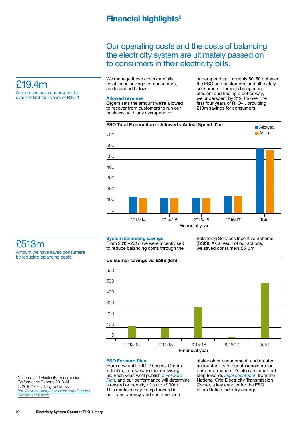## Financial highlights<sup>2</sup>

## Our operating costs and the costs of balancing the electricity system are ultimately passed on to consumers in their electricity bills.

We manage these costs carefully, resulting in savings for consumers, as described below.

#### Allowed revenue

Ofgem sets the amount we're allowed to recover from customers to run our business, with any overspend or

underspend split roughly 50-50 between the ESO and customers, and ultimately consumers. Through being more efficient and finding a better way, we underspent by £19.4m over the first four years of RIIO-1, providing £10m savings for consumers.



£513m Amount we have saved consumers by reducing balancing costs

<span id="page-3-0"></span>£19.4m

Amount we have underspent by, over the first four years of RIIO-1

#### System balancing savings

From 2013–2017, we were incentivised to reduce balancing costs through the

Balancing Services Incentive Scheme (BSIS). As a result of our actions, we saved consumers £513m.



#### ESO Forward Plan

From now until RIIO-2 begins, Ofgem is trialling a new way of incentivising us. Each year, we'll publish a *[Forward](https://www.nationalgrid.com/uk/about-grid/our-role-industry/future-electricity-system-operator)  [Plan](https://www.nationalgrid.com/uk/about-grid/our-role-industry/future-electricity-system-operator)*, and our performance will determine  $\overline{a}$  reward or penalty of up to  $\pm$ £30m. This marks a major step forward in our transparency, and customer and

stakeholder engagement, and greater accountability to our stakeholders for our performance. It's also an important step towards *[legal separation](https://www.nationalgrid.com/uk/about-grid/how-we-are-regulated/eso-and-eto-business-separation)* from the National Grid Electricity Transmission Owner, a key enabler for the ESO in facilitating industry change.

2 National Grid Electricity Transmission Performance Reports 2013/14 to 2016/17 – Talking Networks *[http://www.talkingnetworkstx.com/General-](http://www.talkingnetworkstx.com/General-Performance.aspx)[Performance.aspx](http://www.talkingnetworkstx.com/General-Performance.aspx)*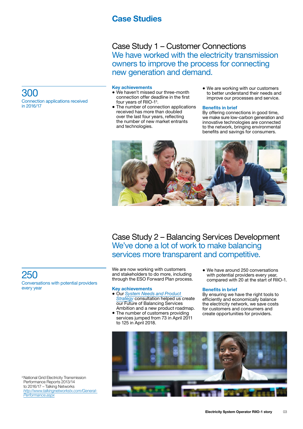## Case Studies

Case Study 1 – Customer Connections We have worked with the electricity transmission owners to improve the process for connecting new generation and demand.

#### Key achievements

- We haven't missed our three-month connection offer deadline in the first four years of RIIO-1<sup>3</sup>.
- The number of connection applications received has more than doubled over the last four years, reflecting the number of new market entrants and technologies.
- We are working with our customers to better understand their needs and improve our processes and service.

#### Benefits in brief

By offering connections in good time, we make sure low-carbon generation and innovative technologies are connected to the network, bringing environmental benefits and savings for consumers.



Case Study 2 – Balancing Services Development We've done a lot of work to make balancing services more transparent and competitive.

We are now working with customers and stakeholders to do more, including through the ESO Forward Plan process.

#### Key achievements

- Our *[System Needs and Product](https://www.nationalgrid.com/uk/electricity/balancing-services/future-balancing-services)  [Strategy](https://www.nationalgrid.com/uk/electricity/balancing-services/future-balancing-services)* consultation helped us create our Future of Balancing Services Ambition and a new product roadmap.
- The number of customers providing services jumped from 73 in April 2011 to 125 in April 2018.
- We have around 250 conversations with potential providers every year, compared with 20 at the start of RIIO-1.

#### Benefits in brief

By ensuring we have the right tools to efficiently and economically balance the electricity network, we save costs for customers and consumers and create opportunities for providers.



<span id="page-4-0"></span>300 Connection applications received in 2016/17

250 Conversations with potential providers every year

<sup>3</sup> National Grid Electricity Transmission Performance Reports 2013/14 to 2016/17 – Talking Networks *[http://www.talkingnetworkstx.com/General-](http://www.talkingnetworkstx.com/General-Performance.aspx)[Performance.aspx](http://www.talkingnetworkstx.com/General-Performance.aspx)*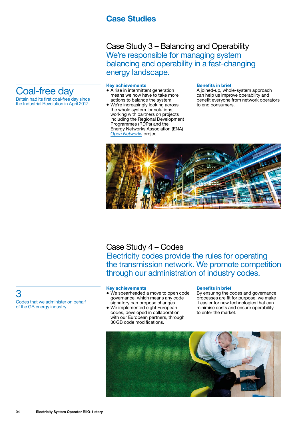## Case Studies

Case Study 3 – Balancing and Operability We're responsible for managing system balancing and operability in a fast-changing energy landscape.

#### Key achievements

- A rise in intermittent generation means we now have to take more actions to balance the system.
- We're increasingly looking across the whole system for solutions, working with partners on projects including the Regional Development Programmes (RDPs) and the Energy Networks Association (ENA) *[Open Networks](http://www.energynetworks.org/electricity/futures/open-networks-project/)* project.

#### Benefits in brief

A joined-up, whole-system approach can help us improve operability and benefit everyone from network operators to end consumers.



Case Study 4 – Codes Electricity codes provide the rules for operating the transmission network. We promote competition through our administration of industry codes.

#### Key achievements

- We spearheaded a move to open code governance, which means any code signatory can propose changes.
- We implemented eight European codes, developed in collaboration with our European partners, through 30GB code modifications.

#### Benefits in brief

By ensuring the codes and governance processes are fit for purpose, we make it easier for new technologies that can minimise costs and ensure operability to enter the market.



<span id="page-5-0"></span>

the Industrial Revolution in April 2017

3

Codes that we administer on behalf of the GB energy industry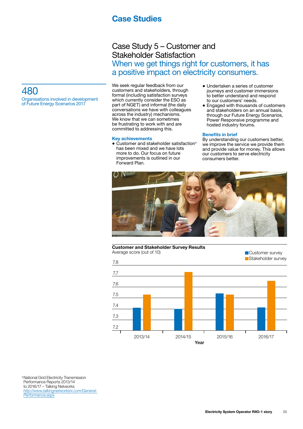## Case Studies

## Case Study 5 – Customer and Stakeholder Satisfaction When we get things right for customers, it has a positive impact on electricity consumers.

## <span id="page-6-0"></span>480

Organisations involved in development of Future Energy Scenarios 2017

We seek regular feedback from our customers and stakeholders, through formal (including satisfaction surveys which currently consider the ESO as part of NGET) and informal (the daily conversations we have with colleagues across the industry) mechanisms. We know that we can sometimes be frustrating to work with and are committed to addressing this.

#### Key achievements

- Customer and stakeholder satisfaction<sup>4</sup> has been mixed and we have lots more to do. Our focus on future improvements is outlined in our Forward Plan.
- Undertaken a series of customer journeys and customer immersions to better understand and respond to our customers' needs.
- Engaged with thousands of customers and stakeholders on an annual basis, through our Future Energy Scenarios, Power Responsive programme and hosted industry forums.

#### Benefits in brief

By understanding our customers better, we improve the service we provide them and provide value for money. This allows our customers to serve electricity consumers better.



#### Customer and Stakeholder Survey Results Average score (out of 10) Customer survey



4 National Grid Electricity Transmission Performance Reports 2013/14 to 2016/17 – Talking Networks *[http://www.talkingnetworkstx.com/General-](http://www.talkingnetworkstx.com/General-Performance.aspx)[Performance.aspx](http://www.talkingnetworkstx.com/General-Performance.aspx)*